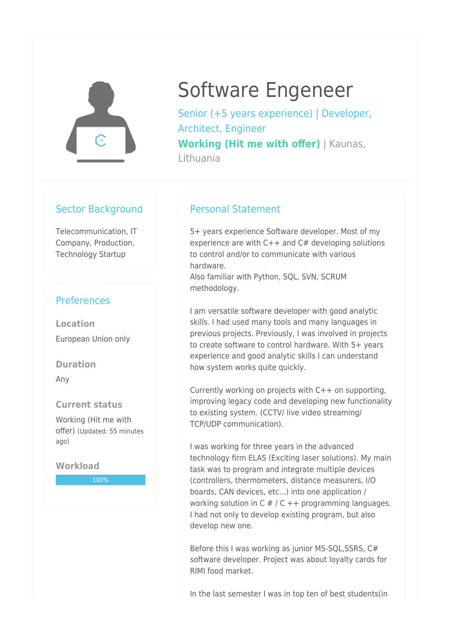

# Software Engeneer

Senior (+5 years experience) | Developer, Architect, Engineer **Working (Hit me with offer)** | Kaunas, Lithuania

#### Sector Background

Telecommunication, IT Company, Production, Technology Startup

## **Preferences**

**Location** European Union only

**Duration**

Any

#### **Current status**

Working (Hit me with offer) (Updated: 55 minutes ago)

**Workload**

100%

### Personal Statement

5+ years experience Software developer. Most of my experience are with  $C++$  and  $C#$  developing solutions to control and/or to communicate with various hardware.

Also familiar with Python, SQL, SVN, SCRUM methodology.

I am versatile software developer with good analytic skills. I had used many tools and many languages in previous projects. Previously, I was involved in projects to create software to control hardware. With 5+ years experience and good analytic skills I can understand how system works quite quickly.

Currently working on projects with C++ on supporting, improving legacy code and developing new functionality to existing system. (CCTV/ live video streaming/ TCP/UDP communication).

I was working for three years in the advanced technology firm ELAS (Exciting laser solutions). My main task was to program and integrate multiple devices (controllers, thermometers, distance measurers, I/O boards, CAN devices, etc...) into one application / working solution in  $C \# / C ++$  programming languages. I had not only to develop existing program, but also develop new one.

Before this I was working as junior MS-SQL,SSRS, C# software developer. Project was about loyalty cards for RIMI food market.

In the last semester I was in top ten of best students(in